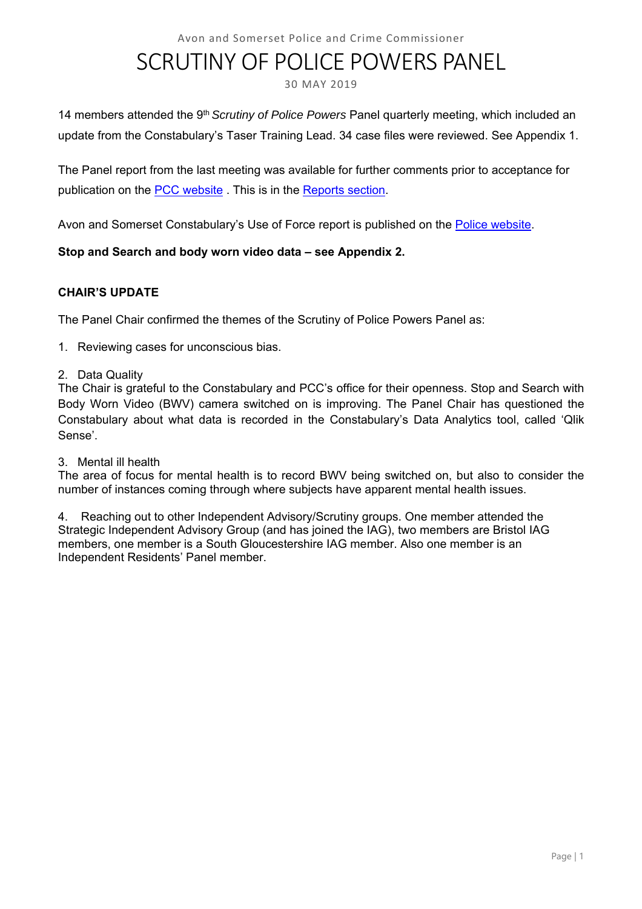## SCRUTINY OF POLICE POWERS PANEL

#### 30 MAY 2019

14 members attended the 9th *Scrutiny of Police Powers* Panel quarterly meeting, which included an update from the Constabulary's Taser Training Lead. 34 case files were reviewed. See Appendix 1.

The Panel report from the last meeting was available for further comments prior to acceptance for publication on the PCC website . This is in the Reports section.

Avon and Somerset Constabulary's Use of Force report is published on the Police website.

#### **Stop and Search and body worn video data – see Appendix 2.**

#### **CHAIR'S UPDATE**

The Panel Chair confirmed the themes of the Scrutiny of Police Powers Panel as:

1. Reviewing cases for unconscious bias.

#### 2. Data Quality

The Chair is grateful to the Constabulary and PCC's office for their openness. Stop and Search with Body Worn Video (BWV) camera switched on is improving. The Panel Chair has questioned the Constabulary about what data is recorded in the Constabulary's Data Analytics tool, called 'Qlik Sense'.

#### 3. Mental ill health

The area of focus for mental health is to record BWV being switched on, but also to consider the number of instances coming through where subjects have apparent mental health issues.

4. Reaching out to other Independent Advisory/Scrutiny groups. One member attended the Strategic Independent Advisory Group (and has joined the IAG), two members are Bristol IAG members, one member is a South Gloucestershire IAG member. Also one member is an Independent Residents' Panel member.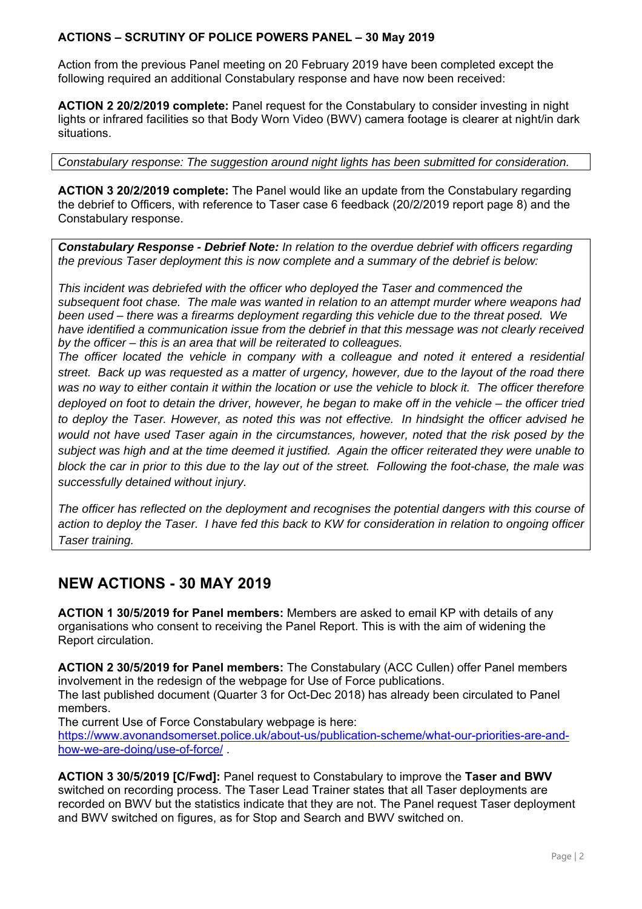#### **ACTIONS – SCRUTINY OF POLICE POWERS PANEL – 30 May 2019**

Action from the previous Panel meeting on 20 February 2019 have been completed except the following required an additional Constabulary response and have now been received:

**ACTION 2 20/2/2019 complete:** Panel request for the Constabulary to consider investing in night lights or infrared facilities so that Body Worn Video (BWV) camera footage is clearer at night/in dark situations.

#### *Constabulary response: The suggestion around night lights has been submitted for consideration.*

**ACTION 3 20/2/2019 complete:** The Panel would like an update from the Constabulary regarding the debrief to Officers, with reference to Taser case 6 feedback (20/2/2019 report page 8) and the Constabulary response.

*Constabulary Response - Debrief Note: In relation to the overdue debrief with officers regarding the previous Taser deployment this is now complete and a summary of the debrief is below:* 

*This incident was debriefed with the officer who deployed the Taser and commenced the subsequent foot chase. The male was wanted in relation to an attempt murder where weapons had been used – there was a firearms deployment regarding this vehicle due to the threat posed. We have identified a communication issue from the debrief in that this message was not clearly received by the officer – this is an area that will be reiterated to colleagues.* 

*The officer located the vehicle in company with a colleague and noted it entered a residential street. Back up was requested as a matter of urgency, however, due to the layout of the road there*  was no way to either contain it within the location or use the vehicle to block it. The officer therefore *deployed on foot to detain the driver, however, he began to make off in the vehicle – the officer tried to deploy the Taser. However, as noted this was not effective. In hindsight the officer advised he would not have used Taser again in the circumstances, however, noted that the risk posed by the subject was high and at the time deemed it justified. Again the officer reiterated they were unable to block the car in prior to this due to the lay out of the street. Following the foot-chase, the male was successfully detained without injury.* 

*The officer has reflected on the deployment and recognises the potential dangers with this course of action to deploy the Taser. I have fed this back to KW for consideration in relation to ongoing officer Taser training.* 

## **NEW ACTIONS - 30 MAY 2019**

**ACTION 1 30/5/2019 for Panel members:** Members are asked to email KP with details of any organisations who consent to receiving the Panel Report. This is with the aim of widening the Report circulation.

**ACTION 2 30/5/2019 for Panel members:** The Constabulary (ACC Cullen) offer Panel members involvement in the redesign of the webpage for Use of Force publications. The last published document (Quarter 3 for Oct-Dec 2018) has already been circulated to Panel members.

The current Use of Force Constabulary webpage is here:

https://www.avonandsomerset.police.uk/about-us/publication-scheme/what-our-priorities-are-andhow-we-are-doing/use-of-force/ .

**ACTION 3 30/5/2019 [C/Fwd]:** Panel request to Constabulary to improve the **Taser and BWV** switched on recording process. The Taser Lead Trainer states that all Taser deployments are recorded on BWV but the statistics indicate that they are not. The Panel request Taser deployment and BWV switched on figures, as for Stop and Search and BWV switched on.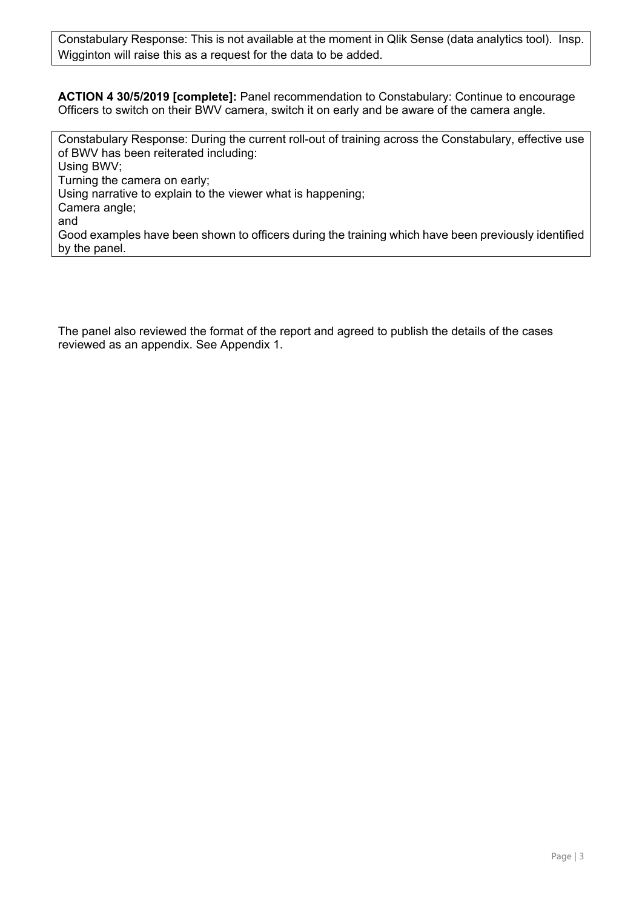Constabulary Response: This is not available at the moment in Qlik Sense (data analytics tool). Insp. Wigginton will raise this as a request for the data to be added.

**ACTION 4 30/5/2019 [complete]:** Panel recommendation to Constabulary: Continue to encourage Officers to switch on their BWV camera, switch it on early and be aware of the camera angle.

Constabulary Response: During the current roll-out of training across the Constabulary, effective use of BWV has been reiterated including: Using BWV; Turning the camera on early; Using narrative to explain to the viewer what is happening; Camera angle; and Good examples have been shown to officers during the training which have been previously identified by the panel.

The panel also reviewed the format of the report and agreed to publish the details of the cases reviewed as an appendix. See Appendix 1.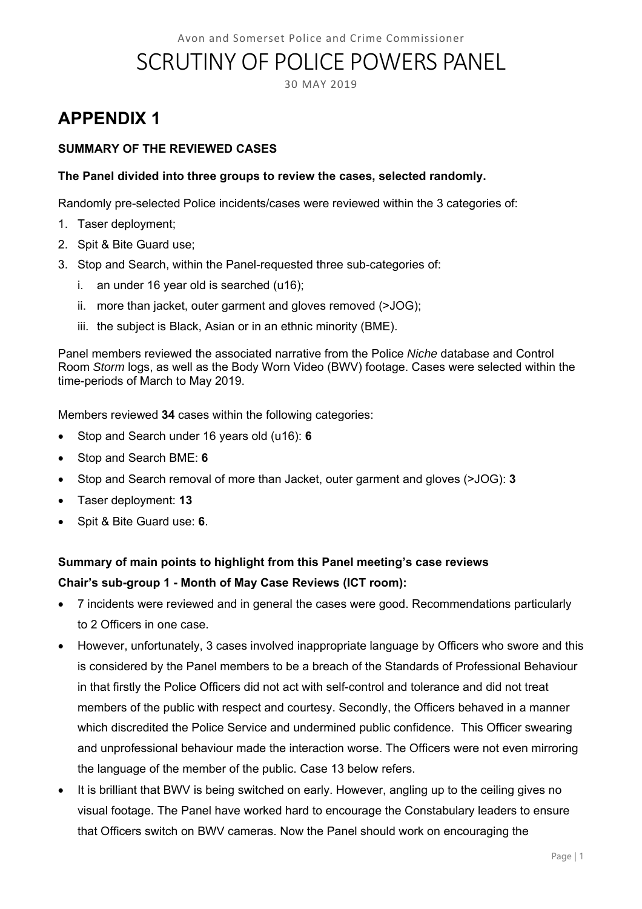# SCRUTINY OF POLICE POWERS PANEL

30 MAY 2019

## **APPENDIX 1**

#### **SUMMARY OF THE REVIEWED CASES**

#### **The Panel divided into three groups to review the cases, selected randomly.**

Randomly pre-selected Police incidents/cases were reviewed within the 3 categories of:

- 1. Taser deployment;
- 2. Spit & Bite Guard use;
- 3. Stop and Search, within the Panel-requested three sub-categories of:
	- i. an under 16 year old is searched (u16);
	- ii. more than jacket, outer garment and gloves removed (>JOG);
	- iii. the subject is Black, Asian or in an ethnic minority (BME).

Panel members reviewed the associated narrative from the Police *Niche* database and Control Room *Storm* logs, as well as the Body Worn Video (BWV) footage. Cases were selected within the time-periods of March to May 2019.

Members reviewed **34** cases within the following categories:

- Stop and Search under 16 years old (u16): **6**
- Stop and Search BME: **6**
- Stop and Search removal of more than Jacket, outer garment and gloves (>JOG): **3**
- Taser deployment: **13**
- Spit & Bite Guard use: **6**.

## **Summary of main points to highlight from this Panel meeting's case reviews Chair's sub-group 1 - Month of May Case Reviews (ICT room):**

- 7 incidents were reviewed and in general the cases were good. Recommendations particularly to 2 Officers in one case.
- However, unfortunately, 3 cases involved inappropriate language by Officers who swore and this is considered by the Panel members to be a breach of the Standards of Professional Behaviour in that firstly the Police Officers did not act with self-control and tolerance and did not treat members of the public with respect and courtesy. Secondly, the Officers behaved in a manner which discredited the Police Service and undermined public confidence. This Officer swearing and unprofessional behaviour made the interaction worse. The Officers were not even mirroring the language of the member of the public. Case 13 below refers.
- It is brilliant that BWV is being switched on early. However, angling up to the ceiling gives no visual footage. The Panel have worked hard to encourage the Constabulary leaders to ensure that Officers switch on BWV cameras. Now the Panel should work on encouraging the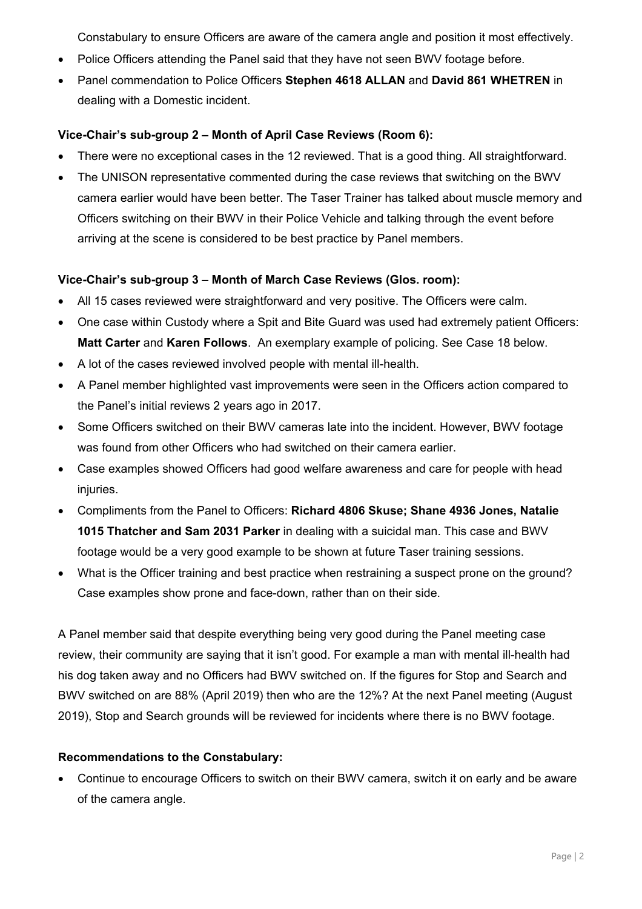Constabulary to ensure Officers are aware of the camera angle and position it most effectively.

- Police Officers attending the Panel said that they have not seen BWV footage before.
- Panel commendation to Police Officers **Stephen 4618 ALLAN** and **David 861 WHETREN** in dealing with a Domestic incident.

#### **Vice-Chair's sub-group 2 – Month of April Case Reviews (Room 6):**

- There were no exceptional cases in the 12 reviewed. That is a good thing. All straightforward.
- The UNISON representative commented during the case reviews that switching on the BWV camera earlier would have been better. The Taser Trainer has talked about muscle memory and Officers switching on their BWV in their Police Vehicle and talking through the event before arriving at the scene is considered to be best practice by Panel members.

#### **Vice-Chair's sub-group 3 – Month of March Case Reviews (Glos. room):**

- All 15 cases reviewed were straightforward and very positive. The Officers were calm.
- One case within Custody where a Spit and Bite Guard was used had extremely patient Officers: **Matt Carter** and **Karen Follows**. An exemplary example of policing. See Case 18 below.
- A lot of the cases reviewed involved people with mental ill-health.
- A Panel member highlighted vast improvements were seen in the Officers action compared to the Panel's initial reviews 2 years ago in 2017.
- Some Officers switched on their BWV cameras late into the incident. However, BWV footage was found from other Officers who had switched on their camera earlier.
- Case examples showed Officers had good welfare awareness and care for people with head injuries.
- Compliments from the Panel to Officers: **Richard 4806 Skuse; Shane 4936 Jones, Natalie 1015 Thatcher and Sam 2031 Parker** in dealing with a suicidal man. This case and BWV footage would be a very good example to be shown at future Taser training sessions.
- What is the Officer training and best practice when restraining a suspect prone on the ground? Case examples show prone and face-down, rather than on their side.

A Panel member said that despite everything being very good during the Panel meeting case review, their community are saying that it isn't good. For example a man with mental ill-health had his dog taken away and no Officers had BWV switched on. If the figures for Stop and Search and BWV switched on are 88% (April 2019) then who are the 12%? At the next Panel meeting (August 2019), Stop and Search grounds will be reviewed for incidents where there is no BWV footage.

#### **Recommendations to the Constabulary:**

 Continue to encourage Officers to switch on their BWV camera, switch it on early and be aware of the camera angle.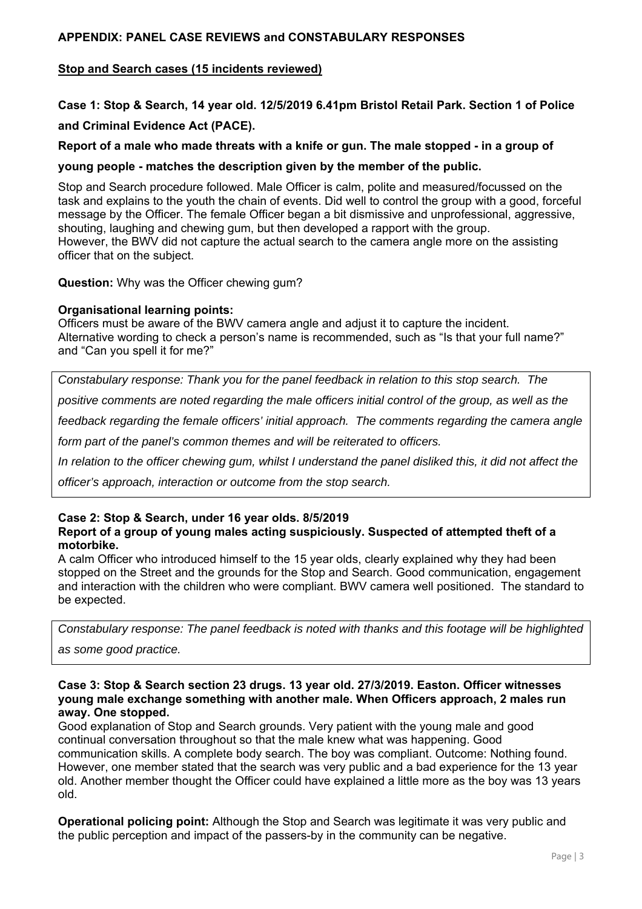#### **Stop and Search cases (15 incidents reviewed)**

**Case 1: Stop & Search, 14 year old. 12/5/2019 6.41pm Bristol Retail Park. Section 1 of Police and Criminal Evidence Act (PACE).** 

**Report of a male who made threats with a knife or gun. The male stopped - in a group of** 

**young people - matches the description given by the member of the public.** 

Stop and Search procedure followed. Male Officer is calm, polite and measured/focussed on the task and explains to the youth the chain of events. Did well to control the group with a good, forceful message by the Officer. The female Officer began a bit dismissive and unprofessional, aggressive, shouting, laughing and chewing gum, but then developed a rapport with the group. However, the BWV did not capture the actual search to the camera angle more on the assisting officer that on the subject.

**Question:** Why was the Officer chewing gum?

#### **Organisational learning points:**

Officers must be aware of the BWV camera angle and adjust it to capture the incident. Alternative wording to check a person's name is recommended, such as "Is that your full name?" and "Can you spell it for me?"

*Constabulary response: Thank you for the panel feedback in relation to this stop search. The* 

*positive comments are noted regarding the male officers initial control of the group, as well as the* 

*feedback regarding the female officers' initial approach. The comments regarding the camera angle* 

*form part of the panel's common themes and will be reiterated to officers.* 

*In relation to the officer chewing gum, whilst I understand the panel disliked this, it did not affect the* 

*officer's approach, interaction or outcome from the stop search.* 

#### **Case 2: Stop & Search, under 16 year olds. 8/5/2019 Report of a group of young males acting suspiciously. Suspected of attempted theft of a motorbike.**

A calm Officer who introduced himself to the 15 year olds, clearly explained why they had been stopped on the Street and the grounds for the Stop and Search. Good communication, engagement and interaction with the children who were compliant. BWV camera well positioned. The standard to be expected.

*Constabulary response: The panel feedback is noted with thanks and this footage will be highlighted* 

*as some good practice.* 

#### **Case 3: Stop & Search section 23 drugs. 13 year old. 27/3/2019. Easton. Officer witnesses young male exchange something with another male. When Officers approach, 2 males run away. One stopped.**

Good explanation of Stop and Search grounds. Very patient with the young male and good continual conversation throughout so that the male knew what was happening. Good communication skills. A complete body search. The boy was compliant. Outcome: Nothing found. However, one member stated that the search was very public and a bad experience for the 13 year old. Another member thought the Officer could have explained a little more as the boy was 13 years old.

**Operational policing point:** Although the Stop and Search was legitimate it was very public and the public perception and impact of the passers-by in the community can be negative.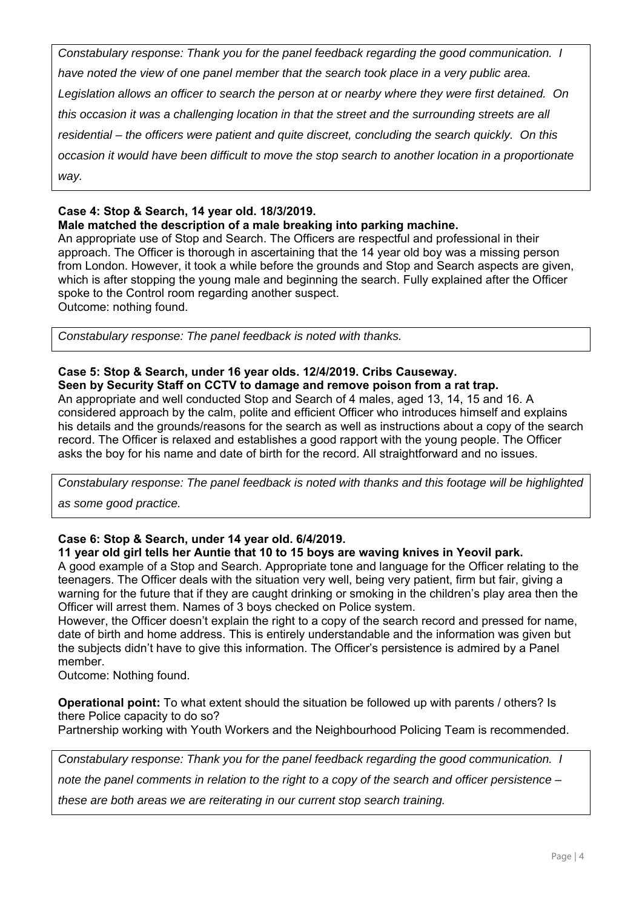*Constabulary response: Thank you for the panel feedback regarding the good communication. I have noted the view of one panel member that the search took place in a very public area. Legislation allows an officer to search the person at or nearby where they were first detained. On this occasion it was a challenging location in that the street and the surrounding streets are all residential – the officers were patient and quite discreet, concluding the search quickly. On this occasion it would have been difficult to move the stop search to another location in a proportionate way.* 

#### **Case 4: Stop & Search, 14 year old. 18/3/2019.**

**Male matched the description of a male breaking into parking machine.** 

An appropriate use of Stop and Search. The Officers are respectful and professional in their approach. The Officer is thorough in ascertaining that the 14 year old boy was a missing person from London. However, it took a while before the grounds and Stop and Search aspects are given, which is after stopping the young male and beginning the search. Fully explained after the Officer spoke to the Control room regarding another suspect. Outcome: nothing found.

*Constabulary response: The panel feedback is noted with thanks.* 

#### **Case 5: Stop & Search, under 16 year olds. 12/4/2019. Cribs Causeway. Seen by Security Staff on CCTV to damage and remove poison from a rat trap.**

An appropriate and well conducted Stop and Search of 4 males, aged 13, 14, 15 and 16. A considered approach by the calm, polite and efficient Officer who introduces himself and explains his details and the grounds/reasons for the search as well as instructions about a copy of the search record. The Officer is relaxed and establishes a good rapport with the young people. The Officer asks the boy for his name and date of birth for the record. All straightforward and no issues.

*Constabulary response: The panel feedback is noted with thanks and this footage will be highlighted as some good practice.* 

#### **Case 6: Stop & Search, under 14 year old. 6/4/2019.**

#### **11 year old girl tells her Auntie that 10 to 15 boys are waving knives in Yeovil park.**

A good example of a Stop and Search. Appropriate tone and language for the Officer relating to the teenagers. The Officer deals with the situation very well, being very patient, firm but fair, giving a warning for the future that if they are caught drinking or smoking in the children's play area then the Officer will arrest them. Names of 3 boys checked on Police system.

However, the Officer doesn't explain the right to a copy of the search record and pressed for name, date of birth and home address. This is entirely understandable and the information was given but the subjects didn't have to give this information. The Officer's persistence is admired by a Panel member.

Outcome: Nothing found.

**Operational point:** To what extent should the situation be followed up with parents / others? Is there Police capacity to do so?

Partnership working with Youth Workers and the Neighbourhood Policing Team is recommended.

*Constabulary response: Thank you for the panel feedback regarding the good communication. I* 

*note the panel comments in relation to the right to a copy of the search and officer persistence –* 

*these are both areas we are reiterating in our current stop search training.*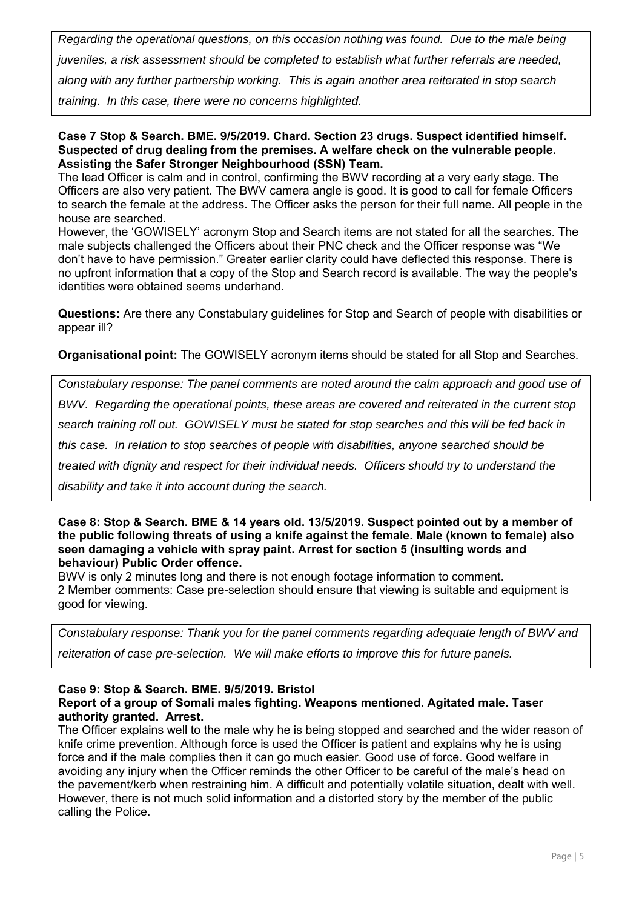*Regarding the operational questions, on this occasion nothing was found. Due to the male being juveniles, a risk assessment should be completed to establish what further referrals are needed, along with any further partnership working. This is again another area reiterated in stop search training. In this case, there were no concerns highlighted.* 

#### **Case 7 Stop & Search. BME. 9/5/2019. Chard. Section 23 drugs. Suspect identified himself. Suspected of drug dealing from the premises. A welfare check on the vulnerable people. Assisting the Safer Stronger Neighbourhood (SSN) Team.**

The lead Officer is calm and in control, confirming the BWV recording at a very early stage. The Officers are also very patient. The BWV camera angle is good. It is good to call for female Officers to search the female at the address. The Officer asks the person for their full name. All people in the house are searched.

However, the 'GOWISELY' acronym Stop and Search items are not stated for all the searches. The male subjects challenged the Officers about their PNC check and the Officer response was "We don't have to have permission." Greater earlier clarity could have deflected this response. There is no upfront information that a copy of the Stop and Search record is available. The way the people's identities were obtained seems underhand.

**Questions:** Are there any Constabulary guidelines for Stop and Search of people with disabilities or appear ill?

**Organisational point:** The GOWISELY acronym items should be stated for all Stop and Searches.

*Constabulary response: The panel comments are noted around the calm approach and good use of BWV. Regarding the operational points, these areas are covered and reiterated in the current stop search training roll out. GOWISELY must be stated for stop searches and this will be fed back in this case. In relation to stop searches of people with disabilities, anyone searched should be treated with dignity and respect for their individual needs. Officers should try to understand the disability and take it into account during the search.* 

#### **Case 8: Stop & Search. BME & 14 years old. 13/5/2019. Suspect pointed out by a member of the public following threats of using a knife against the female. Male (known to female) also seen damaging a vehicle with spray paint. Arrest for section 5 (insulting words and behaviour) Public Order offence.**

BWV is only 2 minutes long and there is not enough footage information to comment. 2 Member comments: Case pre-selection should ensure that viewing is suitable and equipment is good for viewing.

*Constabulary response: Thank you for the panel comments regarding adequate length of BWV and reiteration of case pre-selection. We will make efforts to improve this for future panels.* 

#### **Case 9: Stop & Search. BME. 9/5/2019. Bristol**

#### **Report of a group of Somali males fighting. Weapons mentioned. Agitated male. Taser authority granted. Arrest.**

The Officer explains well to the male why he is being stopped and searched and the wider reason of knife crime prevention. Although force is used the Officer is patient and explains why he is using force and if the male complies then it can go much easier. Good use of force. Good welfare in avoiding any injury when the Officer reminds the other Officer to be careful of the male's head on the pavement/kerb when restraining him. A difficult and potentially volatile situation, dealt with well. However, there is not much solid information and a distorted story by the member of the public calling the Police.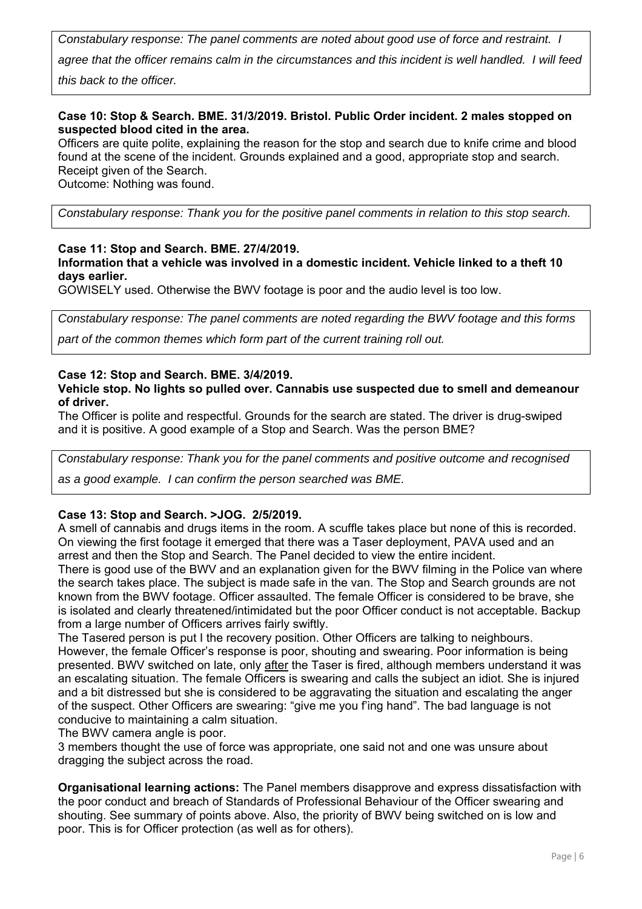*Constabulary response: The panel comments are noted about good use of force and restraint. I agree that the officer remains calm in the circumstances and this incident is well handled. I will feed this back to the officer.* 

#### **Case 10: Stop & Search. BME. 31/3/2019. Bristol. Public Order incident. 2 males stopped on suspected blood cited in the area.**

Officers are quite polite, explaining the reason for the stop and search due to knife crime and blood found at the scene of the incident. Grounds explained and a good, appropriate stop and search. Receipt given of the Search.

Outcome: Nothing was found.

*Constabulary response: Thank you for the positive panel comments in relation to this stop search.* 

#### **Case 11: Stop and Search. BME. 27/4/2019.**

**Information that a vehicle was involved in a domestic incident. Vehicle linked to a theft 10 days earlier.** 

GOWISELY used. Otherwise the BWV footage is poor and the audio level is too low.

*Constabulary response: The panel comments are noted regarding the BWV footage and this forms* 

*part of the common themes which form part of the current training roll out.* 

#### **Case 12: Stop and Search. BME. 3/4/2019.**

#### **Vehicle stop. No lights so pulled over. Cannabis use suspected due to smell and demeanour of driver.**

The Officer is polite and respectful. Grounds for the search are stated. The driver is drug-swiped and it is positive. A good example of a Stop and Search. Was the person BME?

*Constabulary response: Thank you for the panel comments and positive outcome and recognised* 

*as a good example. I can confirm the person searched was BME.* 

#### **Case 13: Stop and Search. >JOG. 2/5/2019.**

A smell of cannabis and drugs items in the room. A scuffle takes place but none of this is recorded. On viewing the first footage it emerged that there was a Taser deployment, PAVA used and an arrest and then the Stop and Search. The Panel decided to view the entire incident.

There is good use of the BWV and an explanation given for the BWV filming in the Police van where the search takes place. The subject is made safe in the van. The Stop and Search grounds are not known from the BWV footage. Officer assaulted. The female Officer is considered to be brave, she is isolated and clearly threatened/intimidated but the poor Officer conduct is not acceptable. Backup from a large number of Officers arrives fairly swiftly.

The Tasered person is put I the recovery position. Other Officers are talking to neighbours. However, the female Officer's response is poor, shouting and swearing. Poor information is being presented. BWV switched on late, only after the Taser is fired, although members understand it was an escalating situation. The female Officers is swearing and calls the subject an idiot. She is injured and a bit distressed but she is considered to be aggravating the situation and escalating the anger of the suspect. Other Officers are swearing: "give me you f'ing hand". The bad language is not conducive to maintaining a calm situation.

The BWV camera angle is poor.

3 members thought the use of force was appropriate, one said not and one was unsure about dragging the subject across the road.

**Organisational learning actions:** The Panel members disapprove and express dissatisfaction with the poor conduct and breach of Standards of Professional Behaviour of the Officer swearing and shouting. See summary of points above. Also, the priority of BWV being switched on is low and poor. This is for Officer protection (as well as for others).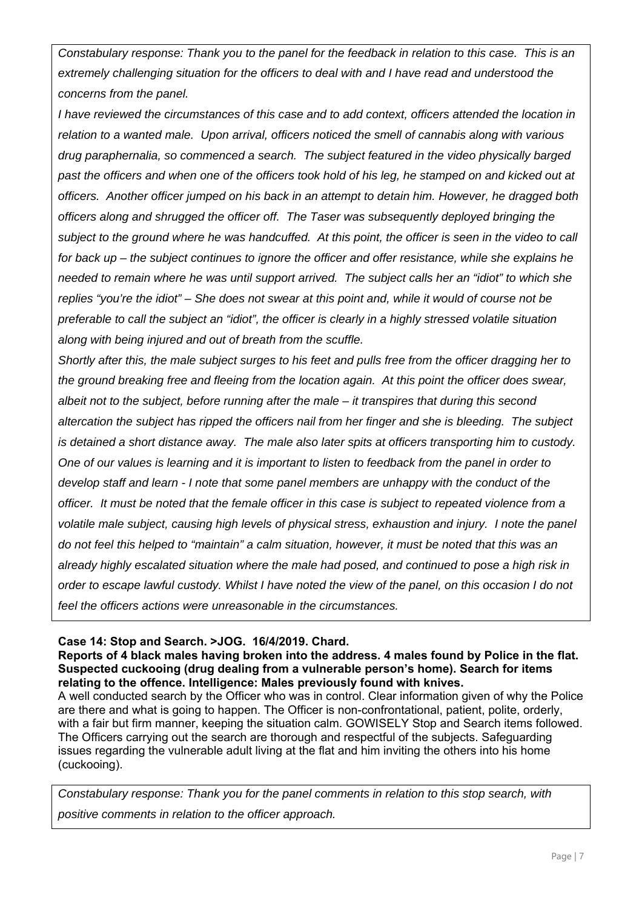*Constabulary response: Thank you to the panel for the feedback in relation to this case. This is an extremely challenging situation for the officers to deal with and I have read and understood the concerns from the panel.* 

*I have reviewed the circumstances of this case and to add context, officers attended the location in relation to a wanted male. Upon arrival, officers noticed the smell of cannabis along with various drug paraphernalia, so commenced a search. The subject featured in the video physically barged past the officers and when one of the officers took hold of his leg, he stamped on and kicked out at officers. Another officer jumped on his back in an attempt to detain him. However, he dragged both officers along and shrugged the officer off. The Taser was subsequently deployed bringing the subject to the ground where he was handcuffed. At this point, the officer is seen in the video to call for back up – the subject continues to ignore the officer and offer resistance, while she explains he needed to remain where he was until support arrived. The subject calls her an "idiot" to which she replies "you're the idiot" – She does not swear at this point and, while it would of course not be preferable to call the subject an "idiot", the officer is clearly in a highly stressed volatile situation along with being injured and out of breath from the scuffle.* 

*Shortly after this, the male subject surges to his feet and pulls free from the officer dragging her to the ground breaking free and fleeing from the location again. At this point the officer does swear, albeit not to the subject, before running after the male – it transpires that during this second altercation the subject has ripped the officers nail from her finger and she is bleeding. The subject is detained a short distance away. The male also later spits at officers transporting him to custody. One of our values is learning and it is important to listen to feedback from the panel in order to develop staff and learn - I note that some panel members are unhappy with the conduct of the officer. It must be noted that the female officer in this case is subject to repeated violence from a volatile male subject, causing high levels of physical stress, exhaustion and injury. I note the panel do not feel this helped to "maintain" a calm situation, however, it must be noted that this was an already highly escalated situation where the male had posed, and continued to pose a high risk in order to escape lawful custody. Whilst I have noted the view of the panel, on this occasion I do not feel the officers actions were unreasonable in the circumstances.* 

#### **Case 14: Stop and Search. >JOG. 16/4/2019. Chard.**

**Reports of 4 black males having broken into the address. 4 males found by Police in the flat. Suspected cuckooing (drug dealing from a vulnerable person's home). Search for items relating to the offence. Intelligence: Males previously found with knives.** 

A well conducted search by the Officer who was in control. Clear information given of why the Police are there and what is going to happen. The Officer is non-confrontational, patient, polite, orderly, with a fair but firm manner, keeping the situation calm. GOWISELY Stop and Search items followed. The Officers carrying out the search are thorough and respectful of the subjects. Safeguarding issues regarding the vulnerable adult living at the flat and him inviting the others into his home (cuckooing).

*Constabulary response: Thank you for the panel comments in relation to this stop search, with positive comments in relation to the officer approach.*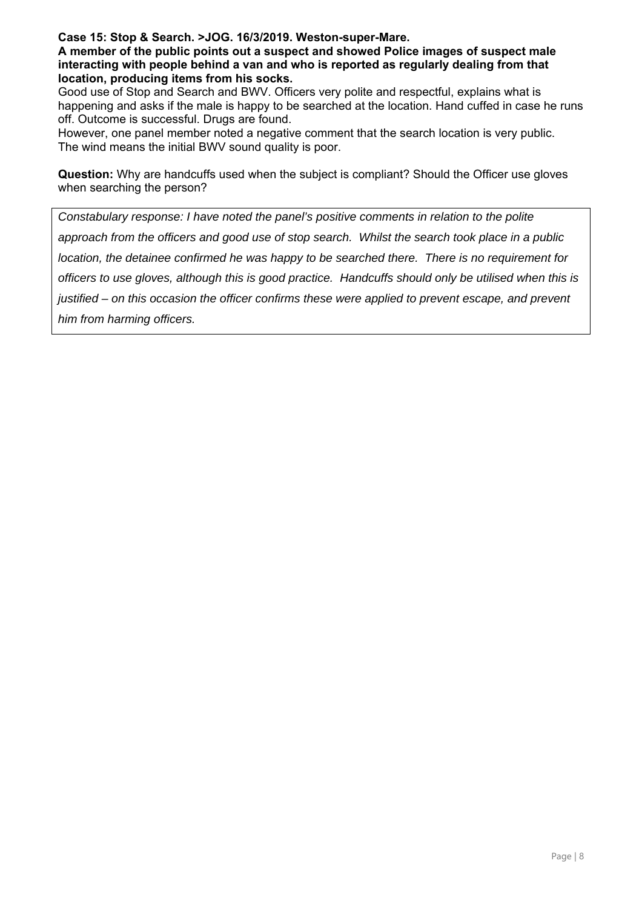#### **Case 15: Stop & Search. >JOG. 16/3/2019. Weston-super-Mare.**

**A member of the public points out a suspect and showed Police images of suspect male interacting with people behind a van and who is reported as regularly dealing from that location, producing items from his socks.** 

Good use of Stop and Search and BWV. Officers very polite and respectful, explains what is happening and asks if the male is happy to be searched at the location. Hand cuffed in case he runs off. Outcome is successful. Drugs are found.

However, one panel member noted a negative comment that the search location is very public. The wind means the initial BWV sound quality is poor.

**Question:** Why are handcuffs used when the subject is compliant? Should the Officer use gloves when searching the person?

*Constabulary response: I have noted the panel's positive comments in relation to the polite approach from the officers and good use of stop search. Whilst the search took place in a public location, the detainee confirmed he was happy to be searched there. There is no requirement for officers to use gloves, although this is good practice. Handcuffs should only be utilised when this is justified – on this occasion the officer confirms these were applied to prevent escape, and prevent him from harming officers.*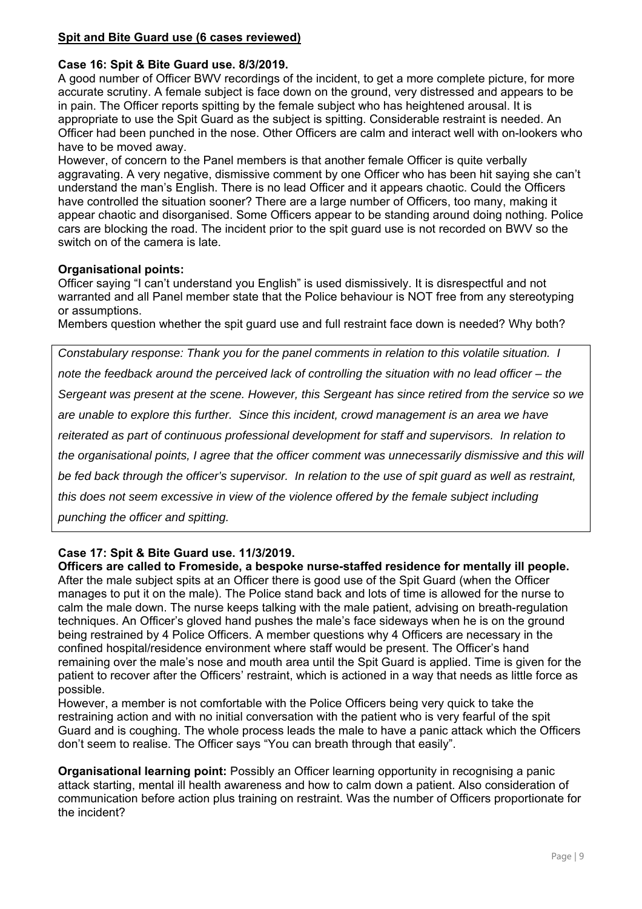#### **Spit and Bite Guard use (6 cases reviewed)**

#### **Case 16: Spit & Bite Guard use. 8/3/2019.**

A good number of Officer BWV recordings of the incident, to get a more complete picture, for more accurate scrutiny. A female subject is face down on the ground, very distressed and appears to be in pain. The Officer reports spitting by the female subject who has heightened arousal. It is appropriate to use the Spit Guard as the subject is spitting. Considerable restraint is needed. An Officer had been punched in the nose. Other Officers are calm and interact well with on-lookers who have to be moved away.

However, of concern to the Panel members is that another female Officer is quite verbally aggravating. A very negative, dismissive comment by one Officer who has been hit saying she can't understand the man's English. There is no lead Officer and it appears chaotic. Could the Officers have controlled the situation sooner? There are a large number of Officers, too many, making it appear chaotic and disorganised. Some Officers appear to be standing around doing nothing. Police cars are blocking the road. The incident prior to the spit guard use is not recorded on BWV so the switch on of the camera is late.

#### **Organisational points:**

Officer saying "I can't understand you English" is used dismissively. It is disrespectful and not warranted and all Panel member state that the Police behaviour is NOT free from any stereotyping or assumptions.

Members question whether the spit guard use and full restraint face down is needed? Why both?

*Constabulary response: Thank you for the panel comments in relation to this volatile situation. I note the feedback around the perceived lack of controlling the situation with no lead officer – the Sergeant was present at the scene. However, this Sergeant has since retired from the service so we are unable to explore this further. Since this incident, crowd management is an area we have reiterated as part of continuous professional development for staff and supervisors. In relation to the organisational points, I agree that the officer comment was unnecessarily dismissive and this will be fed back through the officer's supervisor. In relation to the use of spit guard as well as restraint, this does not seem excessive in view of the violence offered by the female subject including punching the officer and spitting.* 

#### **Case 17: Spit & Bite Guard use. 11/3/2019.**

**Officers are called to Fromeside, a bespoke nurse-staffed residence for mentally ill people.**  After the male subject spits at an Officer there is good use of the Spit Guard (when the Officer manages to put it on the male). The Police stand back and lots of time is allowed for the nurse to calm the male down. The nurse keeps talking with the male patient, advising on breath-regulation techniques. An Officer's gloved hand pushes the male's face sideways when he is on the ground being restrained by 4 Police Officers. A member questions why 4 Officers are necessary in the confined hospital/residence environment where staff would be present. The Officer's hand remaining over the male's nose and mouth area until the Spit Guard is applied. Time is given for the patient to recover after the Officers' restraint, which is actioned in a way that needs as little force as possible.

However, a member is not comfortable with the Police Officers being very quick to take the restraining action and with no initial conversation with the patient who is very fearful of the spit Guard and is coughing. The whole process leads the male to have a panic attack which the Officers don't seem to realise. The Officer says "You can breath through that easily".

**Organisational learning point:** Possibly an Officer learning opportunity in recognising a panic attack starting, mental ill health awareness and how to calm down a patient. Also consideration of communication before action plus training on restraint. Was the number of Officers proportionate for the incident?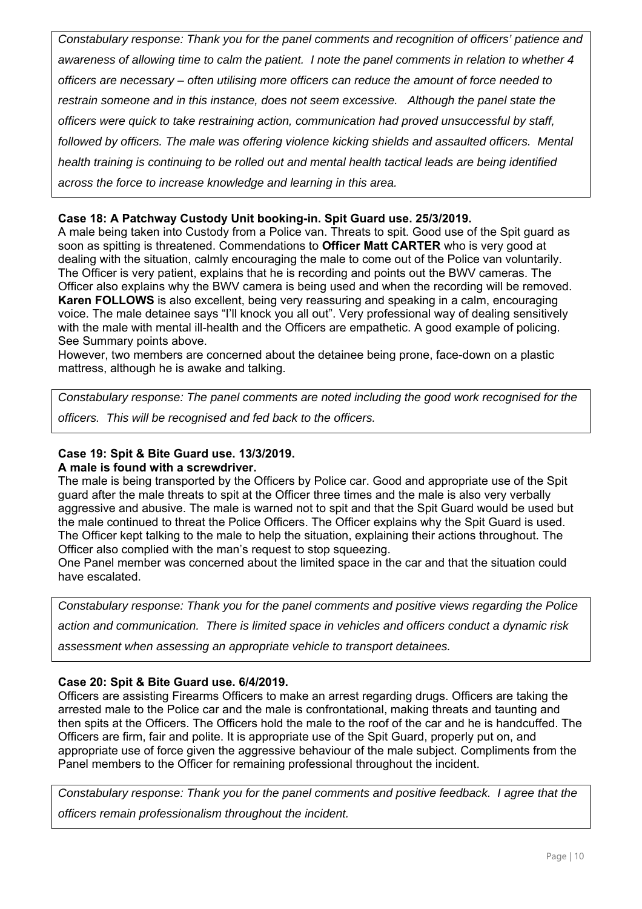*Constabulary response: Thank you for the panel comments and recognition of officers' patience and awareness of allowing time to calm the patient. I note the panel comments in relation to whether 4 officers are necessary – often utilising more officers can reduce the amount of force needed to restrain someone and in this instance, does not seem excessive. Although the panel state the officers were quick to take restraining action, communication had proved unsuccessful by staff, followed by officers. The male was offering violence kicking shields and assaulted officers. Mental health training is continuing to be rolled out and mental health tactical leads are being identified across the force to increase knowledge and learning in this area.* 

#### **Case 18: A Patchway Custody Unit booking-in. Spit Guard use. 25/3/2019.**

A male being taken into Custody from a Police van. Threats to spit. Good use of the Spit guard as soon as spitting is threatened. Commendations to **Officer Matt CARTER** who is very good at dealing with the situation, calmly encouraging the male to come out of the Police van voluntarily. The Officer is very patient, explains that he is recording and points out the BWV cameras. The Officer also explains why the BWV camera is being used and when the recording will be removed. **Karen FOLLOWS** is also excellent, being very reassuring and speaking in a calm, encouraging voice. The male detainee says "I'll knock you all out". Very professional way of dealing sensitively with the male with mental ill-health and the Officers are empathetic. A good example of policing. See Summary points above.

However, two members are concerned about the detainee being prone, face-down on a plastic mattress, although he is awake and talking.

*Constabulary response: The panel comments are noted including the good work recognised for the officers. This will be recognised and fed back to the officers.* 

#### **Case 19: Spit & Bite Guard use. 13/3/2019. A male is found with a screwdriver.**

The male is being transported by the Officers by Police car. Good and appropriate use of the Spit guard after the male threats to spit at the Officer three times and the male is also very verbally aggressive and abusive. The male is warned not to spit and that the Spit Guard would be used but the male continued to threat the Police Officers. The Officer explains why the Spit Guard is used. The Officer kept talking to the male to help the situation, explaining their actions throughout. The Officer also complied with the man's request to stop squeezing.

One Panel member was concerned about the limited space in the car and that the situation could have escalated.

*Constabulary response: Thank you for the panel comments and positive views regarding the Police* 

*action and communication. There is limited space in vehicles and officers conduct a dynamic risk* 

*assessment when assessing an appropriate vehicle to transport detainees.* 

#### **Case 20: Spit & Bite Guard use. 6/4/2019.**

Officers are assisting Firearms Officers to make an arrest regarding drugs. Officers are taking the arrested male to the Police car and the male is confrontational, making threats and taunting and then spits at the Officers. The Officers hold the male to the roof of the car and he is handcuffed. The Officers are firm, fair and polite. It is appropriate use of the Spit Guard, properly put on, and appropriate use of force given the aggressive behaviour of the male subject. Compliments from the Panel members to the Officer for remaining professional throughout the incident.

*Constabulary response: Thank you for the panel comments and positive feedback. I agree that the officers remain professionalism throughout the incident.*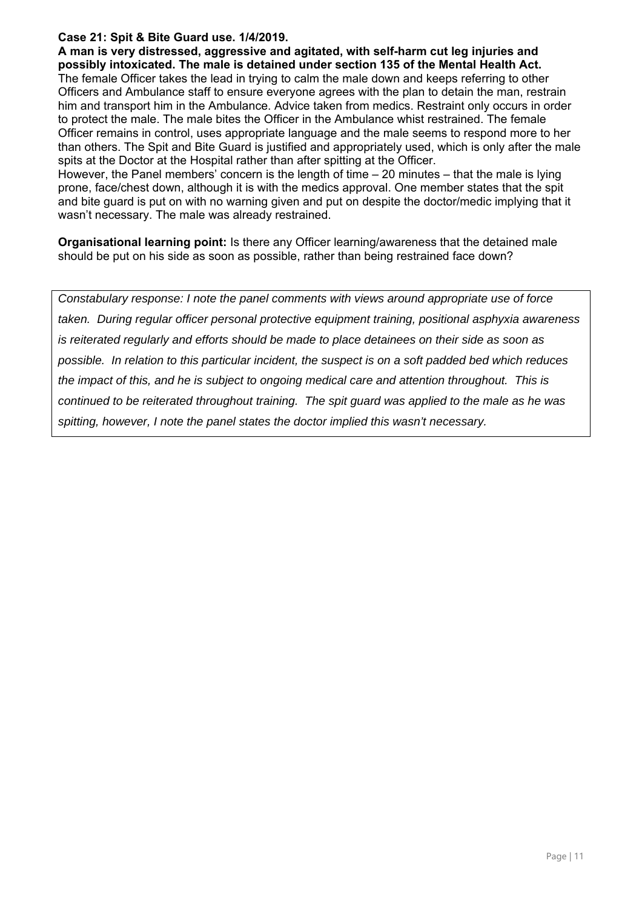#### **Case 21: Spit & Bite Guard use. 1/4/2019.**

**A man is very distressed, aggressive and agitated, with self-harm cut leg injuries and possibly intoxicated. The male is detained under section 135 of the Mental Health Act.**  The female Officer takes the lead in trying to calm the male down and keeps referring to other Officers and Ambulance staff to ensure everyone agrees with the plan to detain the man, restrain him and transport him in the Ambulance. Advice taken from medics. Restraint only occurs in order to protect the male. The male bites the Officer in the Ambulance whist restrained. The female Officer remains in control, uses appropriate language and the male seems to respond more to her than others. The Spit and Bite Guard is justified and appropriately used, which is only after the male spits at the Doctor at the Hospital rather than after spitting at the Officer.

However, the Panel members' concern is the length of time – 20 minutes – that the male is lying prone, face/chest down, although it is with the medics approval. One member states that the spit and bite guard is put on with no warning given and put on despite the doctor/medic implying that it wasn't necessary. The male was already restrained.

**Organisational learning point:** Is there any Officer learning/awareness that the detained male should be put on his side as soon as possible, rather than being restrained face down?

*Constabulary response: I note the panel comments with views around appropriate use of force taken. During regular officer personal protective equipment training, positional asphyxia awareness is reiterated regularly and efforts should be made to place detainees on their side as soon as possible. In relation to this particular incident, the suspect is on a soft padded bed which reduces the impact of this, and he is subject to ongoing medical care and attention throughout. This is continued to be reiterated throughout training. The spit guard was applied to the male as he was spitting, however, I note the panel states the doctor implied this wasn't necessary.*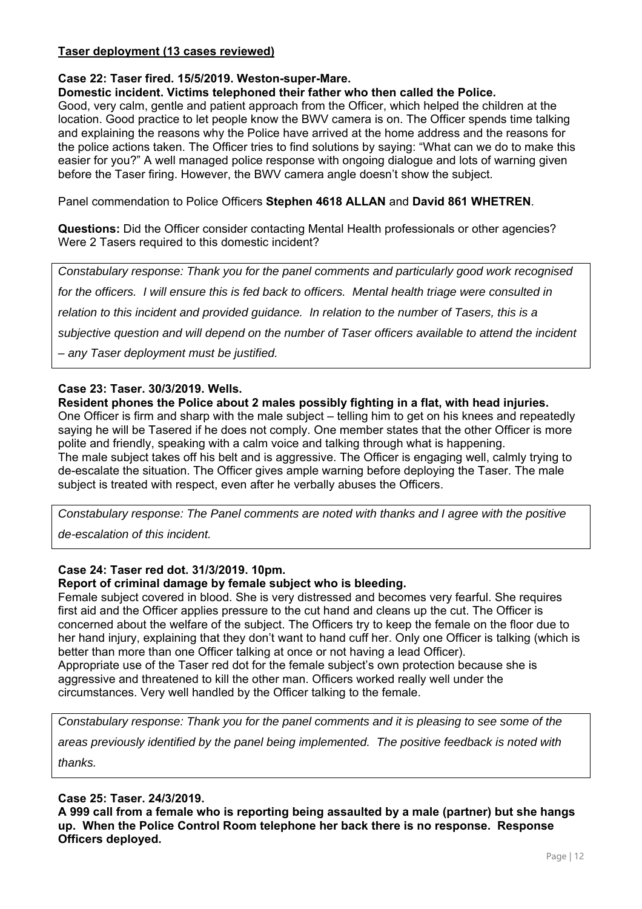#### **Taser deployment (13 cases reviewed)**

#### **Case 22: Taser fired. 15/5/2019. Weston-super-Mare.**

#### **Domestic incident. Victims telephoned their father who then called the Police.**

Good, very calm, gentle and patient approach from the Officer, which helped the children at the location. Good practice to let people know the BWV camera is on. The Officer spends time talking and explaining the reasons why the Police have arrived at the home address and the reasons for the police actions taken. The Officer tries to find solutions by saying: "What can we do to make this easier for you?" A well managed police response with ongoing dialogue and lots of warning given before the Taser firing. However, the BWV camera angle doesn't show the subject.

Panel commendation to Police Officers **Stephen 4618 ALLAN** and **David 861 WHETREN**.

**Questions:** Did the Officer consider contacting Mental Health professionals or other agencies? Were 2 Tasers required to this domestic incident?

*Constabulary response: Thank you for the panel comments and particularly good work recognised for the officers. I will ensure this is fed back to officers. Mental health triage were consulted in relation to this incident and provided guidance. In relation to the number of Tasers, this is a subjective question and will depend on the number of Taser officers available to attend the incident – any Taser deployment must be justified.* 

#### **Case 23: Taser. 30/3/2019. Wells.**

#### **Resident phones the Police about 2 males possibly fighting in a flat, with head injuries.**  One Officer is firm and sharp with the male subject – telling him to get on his knees and repeatedly saying he will be Tasered if he does not comply. One member states that the other Officer is more polite and friendly, speaking with a calm voice and talking through what is happening. The male subject takes off his belt and is aggressive. The Officer is engaging well, calmly trying to de-escalate the situation. The Officer gives ample warning before deploying the Taser. The male subject is treated with respect, even after he verbally abuses the Officers.

*Constabulary response: The Panel comments are noted with thanks and I agree with the positive de-escalation of this incident.* 

#### **Case 24: Taser red dot. 31/3/2019. 10pm.**

#### **Report of criminal damage by female subject who is bleeding.**

Female subject covered in blood. She is very distressed and becomes very fearful. She requires first aid and the Officer applies pressure to the cut hand and cleans up the cut. The Officer is concerned about the welfare of the subject. The Officers try to keep the female on the floor due to her hand injury, explaining that they don't want to hand cuff her. Only one Officer is talking (which is better than more than one Officer talking at once or not having a lead Officer). Appropriate use of the Taser red dot for the female subject's own protection because she is aggressive and threatened to kill the other man. Officers worked really well under the circumstances. Very well handled by the Officer talking to the female.

*Constabulary response: Thank you for the panel comments and it is pleasing to see some of the areas previously identified by the panel being implemented. The positive feedback is noted with thanks.* 

#### **Case 25: Taser. 24/3/2019.**

**A 999 call from a female who is reporting being assaulted by a male (partner) but she hangs up. When the Police Control Room telephone her back there is no response. Response Officers deployed.**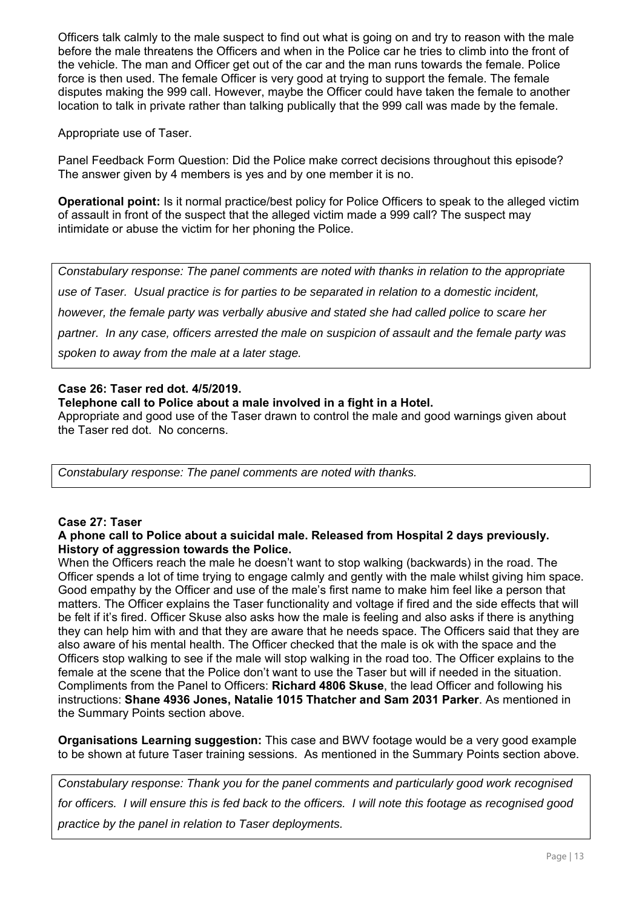Officers talk calmly to the male suspect to find out what is going on and try to reason with the male before the male threatens the Officers and when in the Police car he tries to climb into the front of the vehicle. The man and Officer get out of the car and the man runs towards the female. Police force is then used. The female Officer is very good at trying to support the female. The female disputes making the 999 call. However, maybe the Officer could have taken the female to another location to talk in private rather than talking publically that the 999 call was made by the female.

Appropriate use of Taser.

Panel Feedback Form Question: Did the Police make correct decisions throughout this episode? The answer given by 4 members is yes and by one member it is no.

**Operational point:** Is it normal practice/best policy for Police Officers to speak to the alleged victim of assault in front of the suspect that the alleged victim made a 999 call? The suspect may intimidate or abuse the victim for her phoning the Police.

*Constabulary response: The panel comments are noted with thanks in relation to the appropriate use of Taser. Usual practice is for parties to be separated in relation to a domestic incident, however, the female party was verbally abusive and stated she had called police to scare her partner. In any case, officers arrested the male on suspicion of assault and the female party was spoken to away from the male at a later stage.* 

#### **Case 26: Taser red dot. 4/5/2019.**

#### **Telephone call to Police about a male involved in a fight in a Hotel.**

Appropriate and good use of the Taser drawn to control the male and good warnings given about the Taser red dot. No concerns.

*Constabulary response: The panel comments are noted with thanks.* 

#### **Case 27: Taser**

#### **A phone call to Police about a suicidal male. Released from Hospital 2 days previously. History of aggression towards the Police.**

When the Officers reach the male he doesn't want to stop walking (backwards) in the road. The Officer spends a lot of time trying to engage calmly and gently with the male whilst giving him space. Good empathy by the Officer and use of the male's first name to make him feel like a person that matters. The Officer explains the Taser functionality and voltage if fired and the side effects that will be felt if it's fired. Officer Skuse also asks how the male is feeling and also asks if there is anything they can help him with and that they are aware that he needs space. The Officers said that they are also aware of his mental health. The Officer checked that the male is ok with the space and the Officers stop walking to see if the male will stop walking in the road too. The Officer explains to the female at the scene that the Police don't want to use the Taser but will if needed in the situation. Compliments from the Panel to Officers: **Richard 4806 Skuse**, the lead Officer and following his instructions: **Shane 4936 Jones, Natalie 1015 Thatcher and Sam 2031 Parker**. As mentioned in the Summary Points section above.

**Organisations Learning suggestion:** This case and BWV footage would be a very good example to be shown at future Taser training sessions. As mentioned in the Summary Points section above.

*Constabulary response: Thank you for the panel comments and particularly good work recognised for officers. I will ensure this is fed back to the officers. I will note this footage as recognised good practice by the panel in relation to Taser deployments.*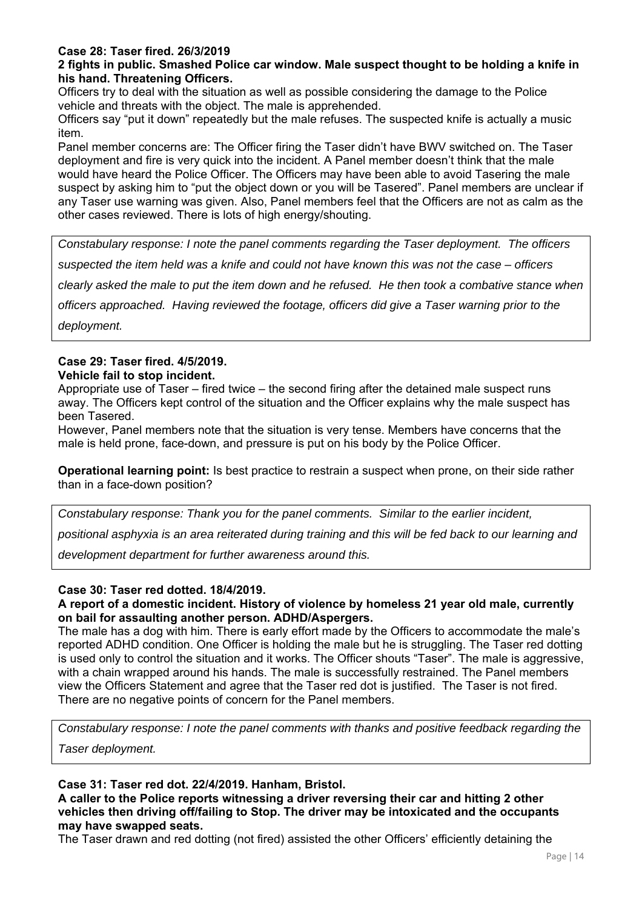### **Case 28: Taser fired. 26/3/2019**

#### **2 fights in public. Smashed Police car window. Male suspect thought to be holding a knife in his hand. Threatening Officers.**

Officers try to deal with the situation as well as possible considering the damage to the Police vehicle and threats with the object. The male is apprehended.

Officers say "put it down" repeatedly but the male refuses. The suspected knife is actually a music item.

Panel member concerns are: The Officer firing the Taser didn't have BWV switched on. The Taser deployment and fire is very quick into the incident. A Panel member doesn't think that the male would have heard the Police Officer. The Officers may have been able to avoid Tasering the male suspect by asking him to "put the object down or you will be Tasered". Panel members are unclear if any Taser use warning was given. Also, Panel members feel that the Officers are not as calm as the other cases reviewed. There is lots of high energy/shouting.

*Constabulary response: I note the panel comments regarding the Taser deployment. The officers suspected the item held was a knife and could not have known this was not the case – officers* 

*clearly asked the male to put the item down and he refused. He then took a combative stance when* 

*officers approached. Having reviewed the footage, officers did give a Taser warning prior to the deployment.* 

## **Case 29: Taser fired. 4/5/2019.**

**Vehicle fail to stop incident.** 

Appropriate use of Taser – fired twice – the second firing after the detained male suspect runs away. The Officers kept control of the situation and the Officer explains why the male suspect has been Tasered.

However, Panel members note that the situation is very tense. Members have concerns that the male is held prone, face-down, and pressure is put on his body by the Police Officer.

**Operational learning point:** Is best practice to restrain a suspect when prone, on their side rather than in a face-down position?

*Constabulary response: Thank you for the panel comments. Similar to the earlier incident,* 

*positional asphyxia is an area reiterated during training and this will be fed back to our learning and* 

*development department for further awareness around this.* 

#### **Case 30: Taser red dotted. 18/4/2019.**

**A report of a domestic incident. History of violence by homeless 21 year old male, currently on bail for assaulting another person. ADHD/Aspergers.** 

The male has a dog with him. There is early effort made by the Officers to accommodate the male's reported ADHD condition. One Officer is holding the male but he is struggling. The Taser red dotting is used only to control the situation and it works. The Officer shouts "Taser". The male is aggressive, with a chain wrapped around his hands. The male is successfully restrained. The Panel members view the Officers Statement and agree that the Taser red dot is justified. The Taser is not fired. There are no negative points of concern for the Panel members.

*Constabulary response: I note the panel comments with thanks and positive feedback regarding the Taser deployment.* 

#### **Case 31: Taser red dot. 22/4/2019. Hanham, Bristol.**

**A caller to the Police reports witnessing a driver reversing their car and hitting 2 other vehicles then driving off/failing to Stop. The driver may be intoxicated and the occupants may have swapped seats.** 

The Taser drawn and red dotting (not fired) assisted the other Officers' efficiently detaining the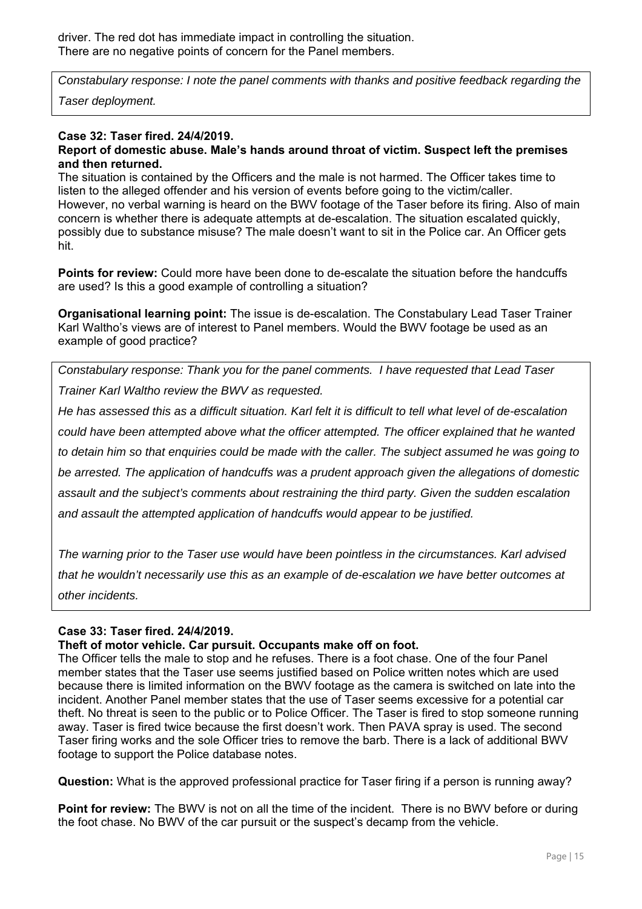driver. The red dot has immediate impact in controlling the situation. There are no negative points of concern for the Panel members.

*Constabulary response: I note the panel comments with thanks and positive feedback regarding the* 

*Taser deployment.* 

#### **Case 32: Taser fired. 24/4/2019.**

#### **Report of domestic abuse. Male's hands around throat of victim. Suspect left the premises and then returned.**

The situation is contained by the Officers and the male is not harmed. The Officer takes time to listen to the alleged offender and his version of events before going to the victim/caller. However, no verbal warning is heard on the BWV footage of the Taser before its firing. Also of main concern is whether there is adequate attempts at de-escalation. The situation escalated quickly, possibly due to substance misuse? The male doesn't want to sit in the Police car. An Officer gets hit.

**Points for review:** Could more have been done to de-escalate the situation before the handcuffs are used? Is this a good example of controlling a situation?

**Organisational learning point:** The issue is de-escalation. The Constabulary Lead Taser Trainer Karl Waltho's views are of interest to Panel members. Would the BWV footage be used as an example of good practice?

*Constabulary response: Thank you for the panel comments. I have requested that Lead Taser Trainer Karl Waltho review the BWV as requested.* 

*He has assessed this as a difficult situation. Karl felt it is difficult to tell what level of de-escalation could have been attempted above what the officer attempted. The officer explained that he wanted to detain him so that enquiries could be made with the caller. The subject assumed he was going to be arrested. The application of handcuffs was a prudent approach given the allegations of domestic assault and the subject's comments about restraining the third party. Given the sudden escalation and assault the attempted application of handcuffs would appear to be justified.* 

*The warning prior to the Taser use would have been pointless in the circumstances. Karl advised that he wouldn't necessarily use this as an example of de-escalation we have better outcomes at other incidents.*

#### **Case 33: Taser fired. 24/4/2019.**

#### **Theft of motor vehicle. Car pursuit. Occupants make off on foot.**

The Officer tells the male to stop and he refuses. There is a foot chase. One of the four Panel member states that the Taser use seems justified based on Police written notes which are used because there is limited information on the BWV footage as the camera is switched on late into the incident. Another Panel member states that the use of Taser seems excessive for a potential car theft. No threat is seen to the public or to Police Officer. The Taser is fired to stop someone running away. Taser is fired twice because the first doesn't work. Then PAVA spray is used. The second Taser firing works and the sole Officer tries to remove the barb. There is a lack of additional BWV footage to support the Police database notes.

**Question:** What is the approved professional practice for Taser firing if a person is running away?

**Point for review:** The BWV is not on all the time of the incident. There is no BWV before or during the foot chase. No BWV of the car pursuit or the suspect's decamp from the vehicle.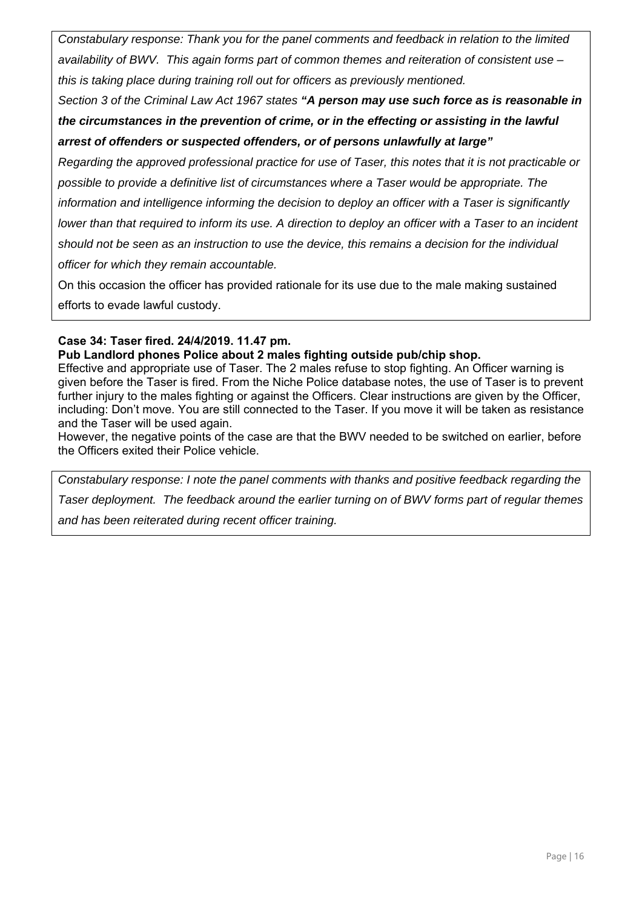*Constabulary response: Thank you for the panel comments and feedback in relation to the limited availability of BWV. This again forms part of common themes and reiteration of consistent use – this is taking place during training roll out for officers as previously mentioned.* 

*Section 3 of the Criminal Law Act 1967 states "A person may use such force as is reasonable in the circumstances in the prevention of crime, or in the effecting or assisting in the lawful arrest of offenders or suspected offenders, or of persons unlawfully at large"* 

*Regarding the approved professional practice for use of Taser, this notes that it is not practicable or* 

*possible to provide a definitive list of circumstances where a Taser would be appropriate. The* 

*information and intelligence informing the decision to deploy an officer with a Taser is significantly* 

*lower than that required to inform its use. A direction to deploy an officer with a Taser to an incident* 

*should not be seen as an instruction to use the device, this remains a decision for the individual officer for which they remain accountable.* 

On this occasion the officer has provided rationale for its use due to the male making sustained

efforts to evade lawful custody.

### **Case 34: Taser fired. 24/4/2019. 11.47 pm.**

#### **Pub Landlord phones Police about 2 males fighting outside pub/chip shop.**

Effective and appropriate use of Taser. The 2 males refuse to stop fighting. An Officer warning is given before the Taser is fired. From the Niche Police database notes, the use of Taser is to prevent further injury to the males fighting or against the Officers. Clear instructions are given by the Officer, including: Don't move. You are still connected to the Taser. If you move it will be taken as resistance and the Taser will be used again.

However, the negative points of the case are that the BWV needed to be switched on earlier, before the Officers exited their Police vehicle.

*Constabulary response: I note the panel comments with thanks and positive feedback regarding the Taser deployment. The feedback around the earlier turning on of BWV forms part of regular themes and has been reiterated during recent officer training.*